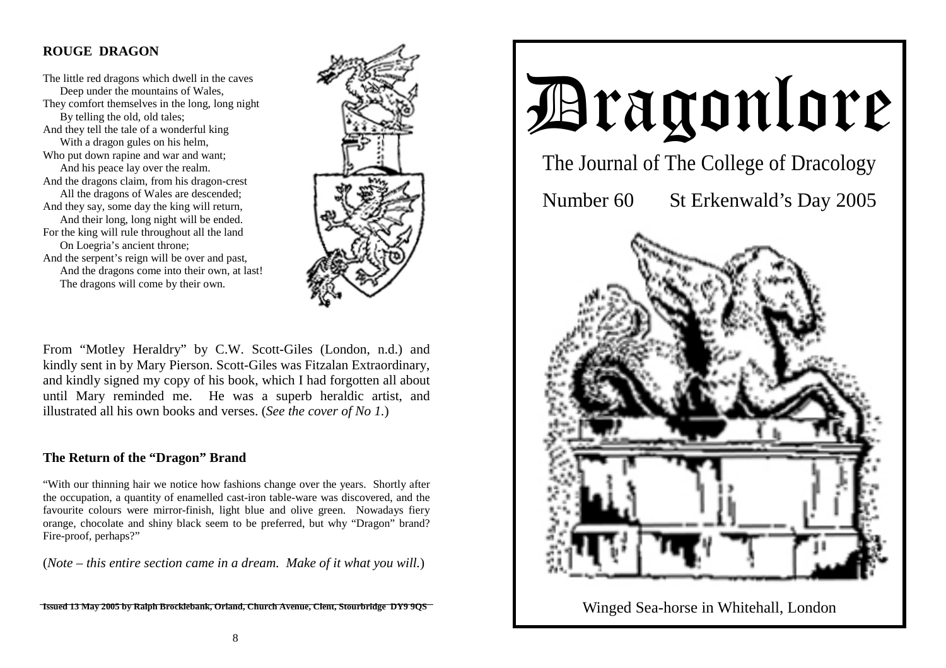# **ROUGE DRAGON**

The little red dragons which dwell in the caves Deep under the mountains of Wales, They comfort themselves in the long, long night By telling the old, old tales; And they tell the tale of a wonderful king With a dragon gules on his helm, Who put down rapine and war and want; And his peace lay over the realm. And the dragons claim, from his dragon-crest All the dragons of Wales are descended; And they say, some day the king will return, And their long, long night will be ended. For the king will rule throughout all the land On Loegria's ancient throne; And the serpent's reign will be over and past, And the dragons come into their own, at last!

The dragons will come by their own.



From "Motley Heraldry" by C.W. Scott-Giles (London, n.d.) and kindly sent in by Mary Pierson. Scott-Giles was Fitzalan Extraordinary, and kindly signed my copy of his book, which I had forgotten all about until Mary reminded me. He was a superb heraldic artist, and illustrated all his own books and verses. (*See the cover of No 1.*)

## **The Return of the "Dragon" Brand**

"With our thinning hair we notice how fashions change over the years. Shortly after the occupation, a quantity of enamelled cast-iron table-ware was discovered, and the favourite colours were mirror-finish, light blue and olive green. Nowadays fiery orange, chocolate and shiny black seem to be preferred, but why "Dragon" brand? Fire-proof, perhaps?"

(*Note – this entire section came in a dream. Make of it what you will.*)

Dragonlore The Journal of The College of Dracology Number 60 St Erkenwald's Day 2005

Winged Sea-horse in Whitehall, London

**ISSued 13 May 2005 by Ralph Brocklebank, Orland, Church Avenue, Clen**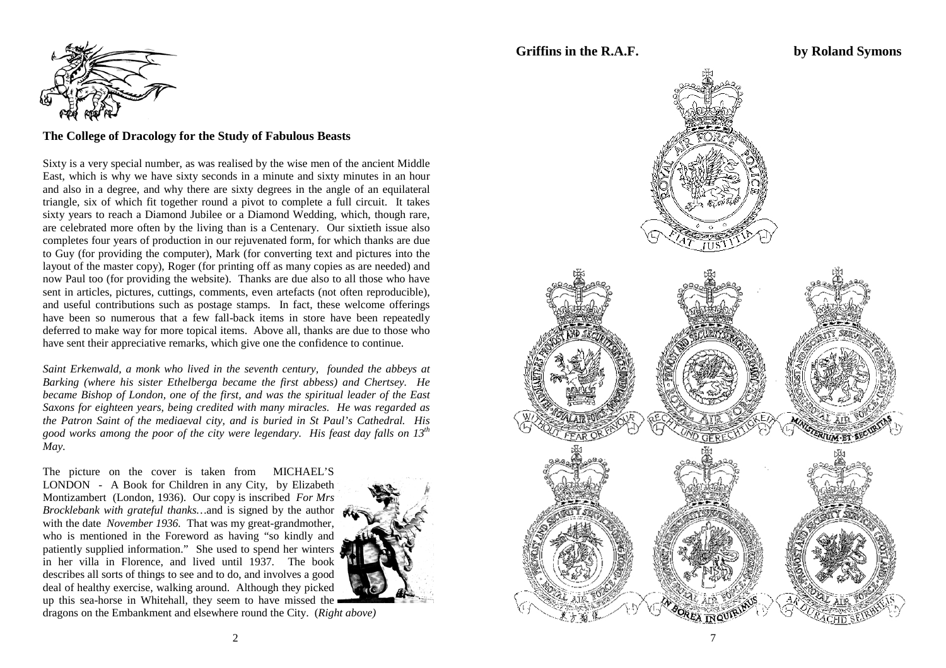

#### **The College of Dracology for the Study of Fabulous Beasts**

Sixty is a very special number, as was realised by the wise men of the ancient Middle East, which is why we have sixty seconds in a minute and sixty minutes in an hour and also in a degree, and why there are sixty degrees in the angle of an equilateral triangle, six of which fit together round a pivot to complete a full circuit. It takes sixty years to reach a Diamond Jubilee or a Diamond Wedding, which, though rare, are celebrated more often by the living than is a Centenary. Our sixtieth issue also completes four years of production in our rejuvenated form, for which thanks are due to Guy (for providing the computer), Mark (for converting text and pictures into the layout of the master copy), Roger (for printing off as many copies as are needed) and now Paul too (for providing the website). Thanks are due also to all those who have sent in articles, pictures, cuttings, comments, even artefacts (not often reproducible), and useful contributions such as postage stamps. In fact, these welcome offerings have been so numerous that a few fall-back items in store have been repeatedly deferred to make way for more topical items. Above all, thanks are due to those who have sent their appreciative remarks, which give one the confidence to continue.

*Saint Erkenwald, a monk who lived in the seventh century, founded the abbeys at Barking (where his sister Ethelberga became the first abbess) and Chertsey. He became Bishop of London, one of the first, and was the spiritual leader of the East Saxons for eighteen years, being credited with many miracles. He was regarded as the Patron Saint of the mediaeval city, and is buried in St Paul's Cathedral. His good works among the poor of the city were legendary. His feast day falls on 13th May.* 

The picture on the cover is taken from MICHAEL'S LONDON - A Book for Children in any City, by Elizabeth Montizambert (London, 1936). Our copy is inscribed *For Mrs Brocklebank with grateful thanks*...and is signed by the author  $\epsilon$ with the date *November 1936.* That was my great-grandmother, who is mentioned in the Foreword as having "so kindly and patiently supplied information." She used to spend her winters in her villa in Florence, and lived until 1937. The book describes all sorts of things to see and to do, and involves a good deal of healthy exercise, walking around. Although they picked up this sea-horse in Whitehall, they seem to have missed the



dragons on the Embankment and elsewhere round the City. (*Right above)* 

**Griffins in the R.A.F. by Roland Symons** 

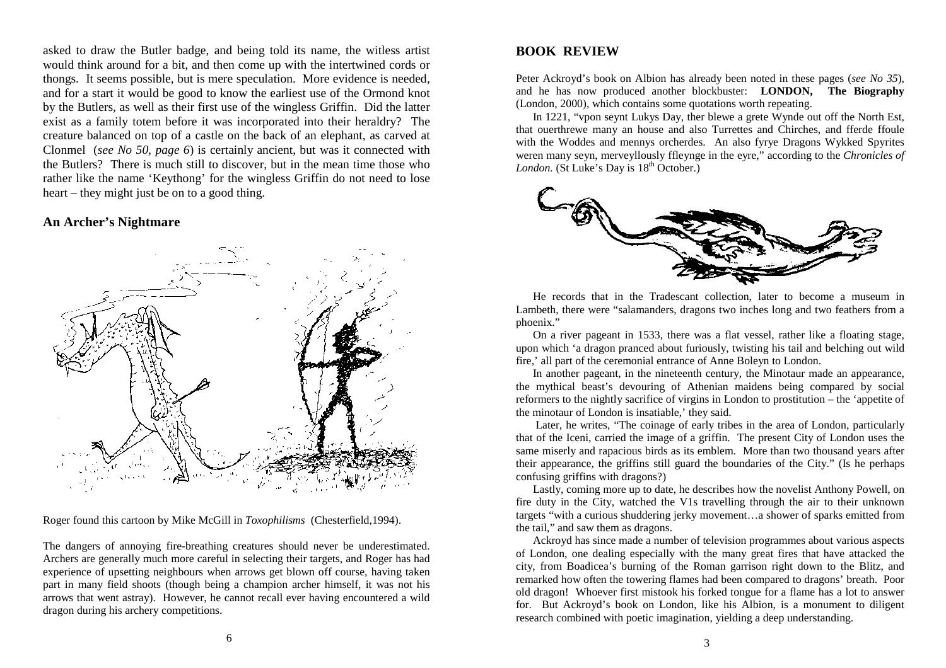asked to draw the Butler badge, and being told its name, the witless artist would think around for a bit, and then come up with the intertwined cords or thongs. It seems possible, but is mere speculation. More evidence is needed, and for a start it would be good to know the earliest use of the Ormond knot by the Butlers, as well as their first use of the wingless Griffin. Did the latter exist as a family totem before it was incorporated into their heraldry? The creature balanced on top of a castle on the back of an elephant, as carved at Clonmel (*see No 50, page 6*) is certainly ancient, but was it connected with the Butlers? There is much still to discover, but in the mean time those who rather like the name 'Keythong' for the wingless Griffin do not need to lose heart – they might just be on to a good thing.

#### **An Archer's Nightmare**



Roger found this cartoon by Mike McGill in *Toxophilisms* (Chesterfield,1994).

The dangers of annoying fire-breathing creatures should never be underestimated. Archers are generally much more careful in selecting their targets, and Roger has had experience of upsetting neighbours when arrows get blown off course, having taken part in many field shoots (though being a champion archer himself, it was not his arrows that went astray). However, he cannot recall ever having encountered a wild dragon during his archery competitions.

## **BOOK REVIEW**

Peter Ackroyd's book on Albion has already been noted in these pages (*see No 35*), and he has now produced another blockbuster: **LONDON, The Biography**  (London, 2000), which contains some quotations worth repeating.

 In 1221, "vpon seynt Lukys Day, ther blewe a grete Wynde out off the North Est, that ouerthrewe many an house and also Turrettes and Chirches, and fferde ffoule with the Woddes and mennys orcherdes. An also fyrye Dragons Wykked Spyrites weren many seyn, merveyllously ffleynge in the eyre," according to the *Chronicles of London.* (St Luke's Day is  $18<sup>th</sup>$  October.)



 He records that in the Tradescant collection, later to become a museum in Lambeth, there were "salamanders, dragons two inches long and two feathers from a phoenix."

 On a river pageant in 1533, there was a flat vessel, rather like a floating stage, upon which 'a dragon pranced about furiously, twisting his tail and belching out wild fire,' all part of the ceremonial entrance of Anne Boleyn to London.

 In another pageant, in the nineteenth century, the Minotaur made an appearance, the mythical beast's devouring of Athenian maidens being compared by social reformers to the nightly sacrifice of virgins in London to prostitution – the 'appetite of the minotaur of London is insatiable,' they said.

 Later, he writes, "The coinage of early tribes in the area of London, particularly that of the Iceni, carried the image of a griffin. The present City of London uses the same miserly and rapacious birds as its emblem. More than two thousand years after their appearance, the griffins still guard the boundaries of the City." (Is he perhaps confusing griffins with dragons?)

 Lastly, coming more up to date, he describes how the novelist Anthony Powell, on fire duty in the City, watched the V1s travelling through the air to their unknown targets "with a curious shuddering jerky movement…a shower of sparks emitted from the tail," and saw them as dragons.

 Ackroyd has since made a number of television programmes about various aspects of London, one dealing especially with the many great fires that have attacked the city, from Boadicea's burning of the Roman garrison right down to the Blitz, and remarked how often the towering flames had been compared to dragons' breath. Poor old dragon! Whoever first mistook his forked tongue for a flame has a lot to answer for. But Ackroyd's book on London, like his Albion, is a monument to diligent research combined with poetic imagination, yielding a deep understanding.